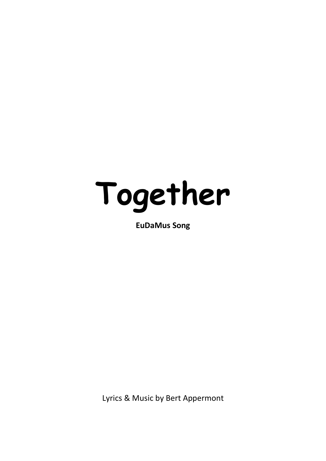**EuDaMus Song**

Lyrics & Music by Bert Appermont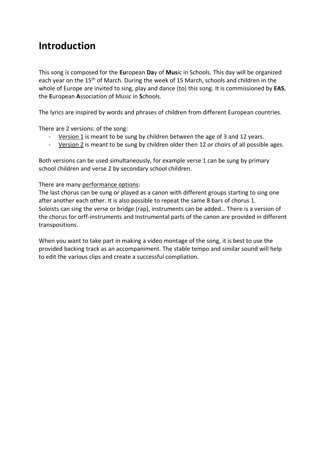### **Introduction**

This song is composed for the **Eu**ropean **Da**y of **Mus**ic in Schools. This day will be organized each year on the 15<sup>th</sup> of March. During the week of 15 March, schools and children in the whole of Europe are invited to sing, play and dance (to) this song. It is commissioned by **EAS**, the **E**uropean **A**ssociation of Music in **S**chools.

The lyrics are inspired by words and phrases of children from different European countries.

There are 2 versions: of the song:

- Version 1 is meant to be sung by children between the age of 3 and 12 years.
- Version 2 is meant to be sung by children older then 12 or choirs of all possible ages.

Both versions can be used simultaneously, for example verse 1 can be sung by primary school children and verse 2 by secondary school children.

#### There are many performance options:

The last chorus can be sung or played as a canon with different groups starting to sing one after another each other. It is also possible to repeat the same 8 bars of chorus 1. Soloists can sing the verse or bridge (rap), instruments can be added… There is a version of the chorus for orff-instruments and Instrumental parts of the canon are provided in different transpositions.

When you want to take part in making a video montage of the song, it is best to use the provided backing track as an accompaniment. The stable tempo and similar sound will help to edit the various clips and create a successful compliation.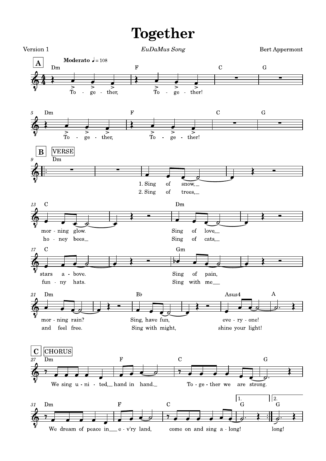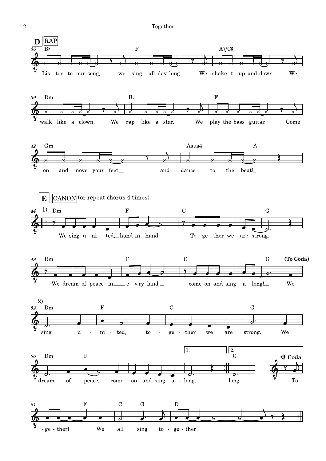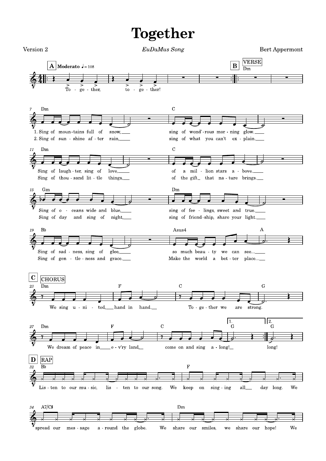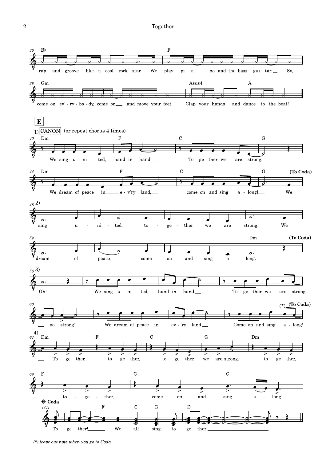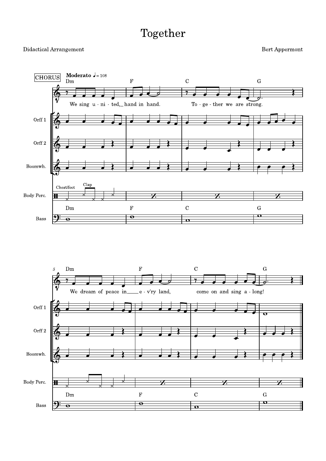#### Didactical Arrangement

Bert Appermont



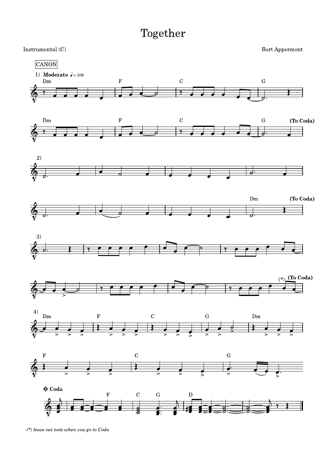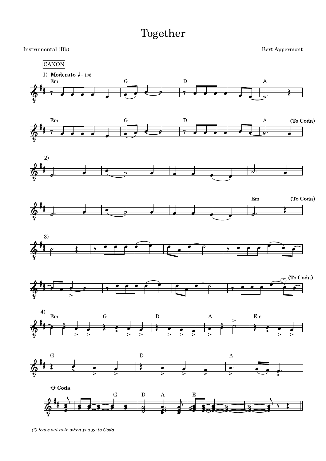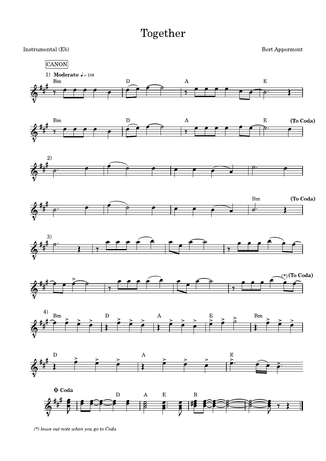